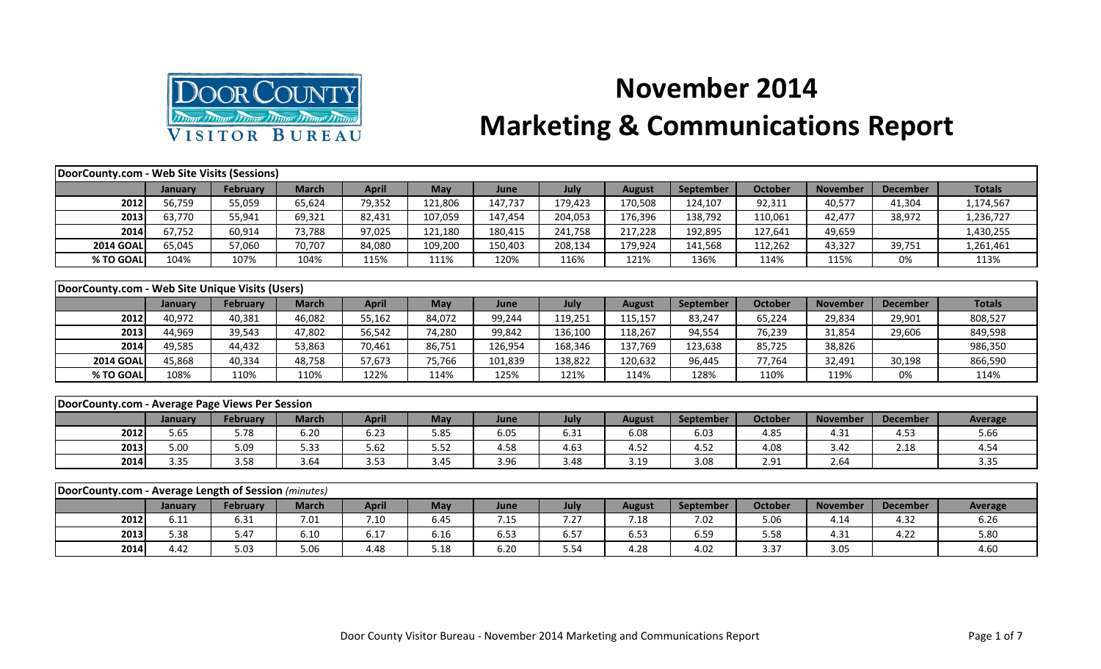

## **November 2014 Marketing & Communications Report**

| DoorCounty.com - Web Site Visits (Sessions)          |         |                 |              |              |            |         |         |               |                  |                |                 |                 |                |
|------------------------------------------------------|---------|-----------------|--------------|--------------|------------|---------|---------|---------------|------------------|----------------|-----------------|-----------------|----------------|
|                                                      | January | February        | <b>March</b> | <b>April</b> | <b>May</b> | June    | July    | <b>August</b> | <b>September</b> | <b>October</b> | <b>November</b> | <b>December</b> | <b>Totals</b>  |
| 2012                                                 | 56,759  | 55,059          | 65,624       | 79,352       | 121,806    | 147,737 | 179,423 | 170,508       | 124,107          | 92,311         | 40,577          | 41,304          | 1,174,567      |
| 2013                                                 | 63,770  | 55,941          | 69,321       | 82,431       | 107,059    | 147,454 | 204,053 | 176,396       | 138,792          | 110,061        | 42,477          | 38,972          | 1,236,727      |
| 2014                                                 | 67,752  | 60,914          | 73,788       | 97,025       | 121,180    | 180,415 | 241,758 | 217,228       | 192,895          | 127,641        | 49,659          |                 | 1,430,255      |
| <b>2014 GOAL</b>                                     | 65,045  | 57,060          | 70,707       | 84,080       | 109,200    | 150,403 | 208,134 | 179,924       | 141,568          | 112,262        | 43,327          | 39,751          | 1,261,461      |
| % TO GOAL                                            | 104%    | 107%            | 104%         | 115%         | 111%       | 120%    | 116%    | 121%          | 136%             | 114%           | 115%            | 0%              | 113%           |
|                                                      |         |                 |              |              |            |         |         |               |                  |                |                 |                 |                |
| DoorCounty.com - Web Site Unique Visits (Users)      |         |                 |              |              |            |         |         |               |                  |                |                 |                 |                |
|                                                      | January | <b>February</b> | <b>March</b> | <b>April</b> | <b>May</b> | June    | July    | <b>August</b> | September        | <b>October</b> | <b>November</b> | <b>December</b> | <b>Totals</b>  |
| 2012                                                 | 40,972  | 40,381          | 46,082       | 55,162       | 84,072     | 99,244  | 119,251 | 115,157       | 83,247           | 65,224         | 29,834          | 29,901          | 808,527        |
| 2013                                                 | 44,969  | 39,543          | 47,802       | 56,542       | 74,280     | 99,842  | 136,100 | 118,267       | 94,554           | 76,239         | 31,854          | 29,606          | 849,598        |
| 2014                                                 | 49,585  | 44,432          | 53,863       | 70,461       | 86,751     | 126,954 | 168,346 | 137,769       | 123,638          | 85,725         | 38,826          |                 | 986,350        |
| <b>2014 GOAL</b>                                     | 45,868  | 40,334          | 48,758       | 57,673       | 75,766     | 101,839 | 138,822 | 120,632       | 96,445           | 77,764         | 32,491          | 30,198          | 866,590        |
| % TO GOAL                                            | 108%    | 110%            | 110%         | 122%         | 114%       | 125%    | 121%    | 114%          | 128%             | 110%           | 119%            | 0%              | 114%           |
|                                                      |         |                 |              |              |            |         |         |               |                  |                |                 |                 |                |
| DoorCounty.com - Average Page Views Per Session      |         |                 |              |              |            |         |         |               |                  |                |                 |                 |                |
|                                                      | January | <b>February</b> | <b>March</b> | <b>April</b> | <b>May</b> | June    | July    | <b>August</b> | September        | <b>October</b> | <b>November</b> | <b>December</b> | Average        |
| 2012                                                 | 5.65    | 5.78            | 6.20         | 6.23         | 5.85       | 6.05    | 6.31    | 6.08          | 6.03             | 4.85           | 4.31            | 4.53            | 5.66           |
| 2013                                                 | 5.00    | 5.09            | 5.33         | 5.62         | 5.52       | 4.58    | 4.63    | 4.52          | 4.52             | 4.08           | 3.42            | 2.18            | 4.54           |
| 2014                                                 | 3.35    | 3.58            | 3.64         | 3.53         | 3.45       | 3.96    | 3.48    | 3.19          | 3.08             | 2.91           | 2.64            |                 | 3.35           |
|                                                      |         |                 |              |              |            |         |         |               |                  |                |                 |                 |                |
| DoorCounty.com - Average Length of Session (minutes) |         |                 |              |              |            |         |         |               |                  |                |                 |                 |                |
|                                                      | January | <b>February</b> | <b>March</b> | <b>April</b> | <b>May</b> | June    | July    | <b>August</b> | September        | <b>October</b> | <b>November</b> | <b>December</b> | <b>Average</b> |
| 2012                                                 | 6.11    | 6.31            | 7.01         | 7.10         | 6.45       | 7.15    | 7.27    | 7.18          | 7.02             | 5.06           | 4.14            | 4.32            | 6.26           |
| 2013                                                 | 5.38    | 5.47            | 6.10         | 6.17         | 6.16       | 6.53    | 6.57    | 6.53          | 6.59             | 5.58           | 4.31            | 4.22            | 5.80           |

**2014**| 4.42 | 5.03 | 5.06 | 4.48 | 5.18 | 6.20 | 5.54 | 4.28 | 4.02 | 3.37 | 3.05 | | 4.60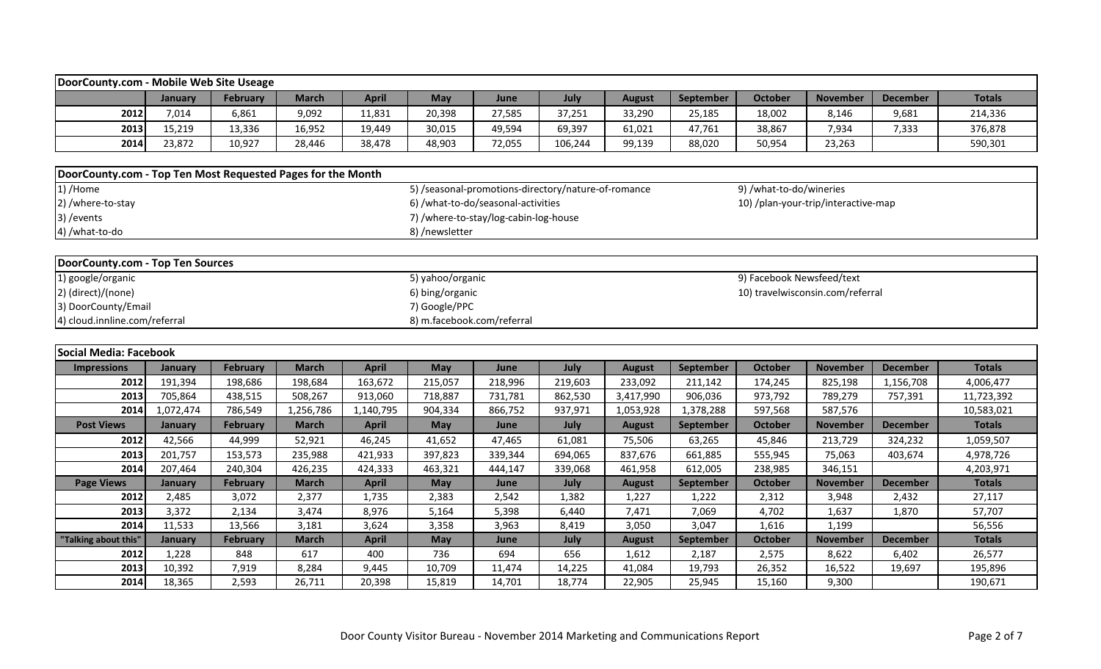| DoorCounty.com - Mobile Web Site Useage                     |           |                 |              |              |                            |                                                     |         |               |           |                |                                                                                                                                                                                                                                                                                                                                                                                                                                                                                                                                                             |                 |               |  |  |  |
|-------------------------------------------------------------|-----------|-----------------|--------------|--------------|----------------------------|-----------------------------------------------------|---------|---------------|-----------|----------------|-------------------------------------------------------------------------------------------------------------------------------------------------------------------------------------------------------------------------------------------------------------------------------------------------------------------------------------------------------------------------------------------------------------------------------------------------------------------------------------------------------------------------------------------------------------|-----------------|---------------|--|--|--|
|                                                             | January   | <b>February</b> | <b>March</b> | <b>April</b> | May                        | June                                                | July    | <b>August</b> | September | <b>October</b> | <b>November</b>                                                                                                                                                                                                                                                                                                                                                                                                                                                                                                                                             | <b>December</b> | <b>Totals</b> |  |  |  |
| 2012                                                        | 7,014     | 6,861           | 9,092        | 11,831       | 20,398                     | 27,585                                              | 37,251  | 33,290        | 25,185    | 18,002         | 8,146                                                                                                                                                                                                                                                                                                                                                                                                                                                                                                                                                       | 9,681           | 214,336       |  |  |  |
| 2013                                                        | 15,219    | 13,336          | 16,952       | 19,449       | 30,015                     | 49,594                                              | 69,397  | 61,021        | 47,761    | 38,867         | 7,934                                                                                                                                                                                                                                                                                                                                                                                                                                                                                                                                                       | 7,333           | 376,878       |  |  |  |
| 2014                                                        | 23,872    | 10,927          | 28,446       | 38,478       | 48,903                     | 72,055                                              | 106,244 | 99,139        | 88,020    | 50,954         | 23,263                                                                                                                                                                                                                                                                                                                                                                                                                                                                                                                                                      |                 | 590,301       |  |  |  |
| DoorCounty.com - Top Ten Most Requested Pages for the Month |           |                 |              |              |                            |                                                     |         |               |           |                |                                                                                                                                                                                                                                                                                                                                                                                                                                                                                                                                                             |                 |               |  |  |  |
| 1) /Home                                                    |           |                 |              |              |                            | 5) /seasonal-promotions-directory/nature-of-romance |         |               |           |                |                                                                                                                                                                                                                                                                                                                                                                                                                                                                                                                                                             |                 |               |  |  |  |
| 2) /where-to-stay                                           |           |                 |              |              |                            | 6) /what-to-do/seasonal-activities                  |         |               |           |                |                                                                                                                                                                                                                                                                                                                                                                                                                                                                                                                                                             |                 |               |  |  |  |
| 3) / events                                                 |           |                 |              |              |                            | 7) /where-to-stay/log-cabin-log-house               |         |               |           |                |                                                                                                                                                                                                                                                                                                                                                                                                                                                                                                                                                             |                 |               |  |  |  |
| 4) /what-to-do                                              |           |                 |              |              | 8) /newsletter             |                                                     |         |               |           |                |                                                                                                                                                                                                                                                                                                                                                                                                                                                                                                                                                             |                 |               |  |  |  |
|                                                             |           |                 |              |              |                            |                                                     |         |               |           |                |                                                                                                                                                                                                                                                                                                                                                                                                                                                                                                                                                             |                 |               |  |  |  |
| DoorCounty.com - Top Ten Sources                            |           |                 |              |              |                            |                                                     |         |               |           |                |                                                                                                                                                                                                                                                                                                                                                                                                                                                                                                                                                             |                 |               |  |  |  |
| 1) google/organic                                           |           |                 |              |              | 5) yahoo/organic           |                                                     |         |               |           |                | 9) /what-to-do/wineries<br>10) /plan-your-trip/interactive-map<br>9) Facebook Newsfeed/text<br>10) travelwisconsin.com/referral<br><b>Totals</b><br><b>November</b><br><b>December</b><br>825,198<br>1,156,708<br>4,006,477<br>789,279<br>11,723,392<br>757,391<br>587,576<br>10,583,021<br><b>Totals</b><br><b>November</b><br><b>December</b><br>213,729<br>324,232<br>1,059,507<br>75,063<br>4,978,726<br>403,674<br>346,151<br>4,203,971<br><b>Totals</b><br><b>November</b><br><b>December</b><br>27,117<br>3,948<br>2,432<br>57,707<br>1,637<br>1,870 |                 |               |  |  |  |
| 2) (direct)/(none)                                          |           |                 |              |              | 6) bing/organic            |                                                     |         |               |           |                |                                                                                                                                                                                                                                                                                                                                                                                                                                                                                                                                                             |                 |               |  |  |  |
| 3) DoorCounty/Email<br>7) Google/PPC                        |           |                 |              |              |                            |                                                     |         |               |           |                |                                                                                                                                                                                                                                                                                                                                                                                                                                                                                                                                                             |                 |               |  |  |  |
| 4) cloud.innline.com/referral                               |           |                 |              |              | 8) m.facebook.com/referral |                                                     |         |               |           |                |                                                                                                                                                                                                                                                                                                                                                                                                                                                                                                                                                             |                 |               |  |  |  |
|                                                             |           |                 |              |              |                            |                                                     |         |               |           |                |                                                                                                                                                                                                                                                                                                                                                                                                                                                                                                                                                             |                 |               |  |  |  |
| Social Media: Facebook                                      |           |                 |              |              |                            |                                                     |         |               |           |                |                                                                                                                                                                                                                                                                                                                                                                                                                                                                                                                                                             |                 |               |  |  |  |
| <b>Impressions</b>                                          | January   | <b>February</b> | <b>March</b> | <b>April</b> | May                        | June                                                | July    | <b>August</b> | September | <b>October</b> |                                                                                                                                                                                                                                                                                                                                                                                                                                                                                                                                                             |                 |               |  |  |  |
| 2012                                                        | 191,394   | 198,686         | 198,684      | 163,672      | 215,057                    | 218,996                                             | 219,603 | 233,092       | 211,142   | 174,245        |                                                                                                                                                                                                                                                                                                                                                                                                                                                                                                                                                             |                 |               |  |  |  |
| 2013                                                        | 705,864   | 438,515         | 508,267      | 913,060      | 718,887                    | 731,781                                             | 862,530 | 3,417,990     | 906,036   | 973,792        |                                                                                                                                                                                                                                                                                                                                                                                                                                                                                                                                                             |                 |               |  |  |  |
| 2014                                                        | 1,072,474 | 786,549         | 1,256,786    | 1,140,795    | 904,334                    | 866,752                                             | 937,971 | 1,053,928     | 1,378,288 | 597,568        |                                                                                                                                                                                                                                                                                                                                                                                                                                                                                                                                                             |                 |               |  |  |  |
| <b>Post Views</b>                                           | January   | <b>February</b> | <b>March</b> | <b>April</b> | <b>May</b>                 | June                                                | July    | <b>August</b> | September | <b>October</b> |                                                                                                                                                                                                                                                                                                                                                                                                                                                                                                                                                             |                 |               |  |  |  |
| 2012                                                        | 42,566    | 44,999          | 52,921       | 46,245       | 41,652                     | 47,465                                              | 61,081  | 75,506        | 63,265    | 45,846         |                                                                                                                                                                                                                                                                                                                                                                                                                                                                                                                                                             |                 |               |  |  |  |
| 2013                                                        | 201,757   | 153,573         | 235,988      | 421,933      | 397,823                    | 339,344                                             | 694,065 | 837,676       | 661,885   | 555,945        |                                                                                                                                                                                                                                                                                                                                                                                                                                                                                                                                                             |                 |               |  |  |  |
| 2014                                                        | 207,464   | 240,304         | 426,235      | 424,333      | 463,321                    | 444,147                                             | 339,068 | 461,958       | 612,005   | 238,985        |                                                                                                                                                                                                                                                                                                                                                                                                                                                                                                                                                             |                 |               |  |  |  |
| <b>Page Views</b>                                           | January   | <b>February</b> | <b>March</b> | <b>April</b> | May                        | June                                                | July    | <b>August</b> | September | <b>October</b> |                                                                                                                                                                                                                                                                                                                                                                                                                                                                                                                                                             |                 |               |  |  |  |
| 2012                                                        | 2,485     | 3,072           | 2,377        | 1,735        | 2,383                      | 2,542                                               | 1,382   | 1,227         | 1,222     | 2,312          |                                                                                                                                                                                                                                                                                                                                                                                                                                                                                                                                                             |                 |               |  |  |  |
| 2013                                                        | 3,372     | 2,134           | 3,474        | 8,976        | 5,164                      | 5,398                                               | 6,440   | 7,471         | 7,069     | 4,702          |                                                                                                                                                                                                                                                                                                                                                                                                                                                                                                                                                             |                 |               |  |  |  |
| 2014                                                        | 11,533    | 13,566          | 3,181        | 3,624        | 3,358                      | 3,963                                               | 8,419   | 3,050         | 3,047     | 1,616          | 1,199                                                                                                                                                                                                                                                                                                                                                                                                                                                                                                                                                       |                 | 56,556        |  |  |  |
| "Talking about this'                                        | January   | February        | <b>March</b> | <b>April</b> | <b>May</b>                 | June                                                | July    | <b>August</b> | September | <b>October</b> | <b>November</b>                                                                                                                                                                                                                                                                                                                                                                                                                                                                                                                                             | <b>December</b> | <b>Totals</b> |  |  |  |
| 2012                                                        | 1,228     | 848             | 617          | 400          | 736                        | 694                                                 | 656     | 1,612         | 2,187     | 2,575          | 8,622                                                                                                                                                                                                                                                                                                                                                                                                                                                                                                                                                       | 6,402           | 26,577        |  |  |  |
| 2013                                                        | 10,392    | 7,919           | 8,284        | 9,445        | 10,709                     | 11,474                                              | 14,225  | 41,084        | 19,793    | 26,352         | 16,522                                                                                                                                                                                                                                                                                                                                                                                                                                                                                                                                                      | 19,697          | 195,896       |  |  |  |

**2014** 18,365 | 2,593 | 26,711 | 20,398 | 15,819 | 14,701 | 18,774 | 22,905 | 25,945 | 15,160 | 9,300 | | 190,671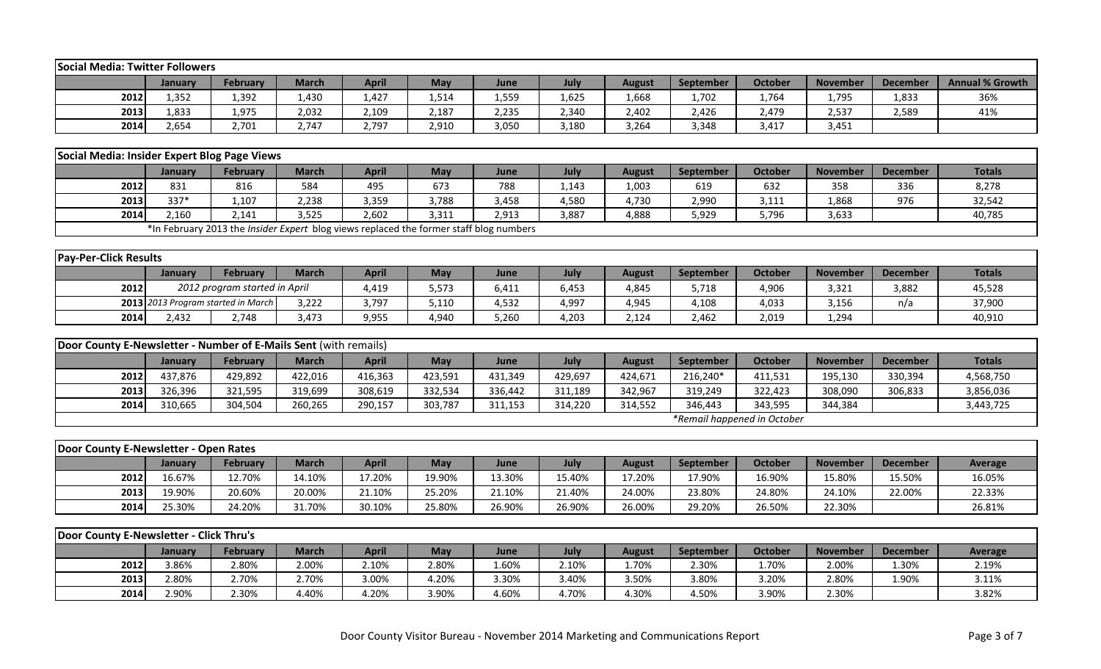| <b>Social Media: Twitter Followers</b>                           |                |                                                                                        |              |              |         |         |         |               |                  |                             |                 |                 |                        |
|------------------------------------------------------------------|----------------|----------------------------------------------------------------------------------------|--------------|--------------|---------|---------|---------|---------------|------------------|-----------------------------|-----------------|-----------------|------------------------|
|                                                                  | January        | <b>February</b>                                                                        | <b>March</b> | <b>April</b> | May     | June    | July    | <b>August</b> | September        | <b>October</b>              | <b>November</b> | <b>December</b> | <b>Annual % Growth</b> |
| 2012                                                             | 1,352          | 1,392                                                                                  | 1,430        | 1,427        | 1,514   | 1,559   | 1,625   | 1,668         | 1,702            | 1,764                       | 1,795           | 1,833           | 36%                    |
| 2013                                                             | 1,833          | 1,975                                                                                  | 2,032        | 2,109        | 2,187   | 2,235   | 2,340   | 2,402         | 2,426            | 2,479                       | 2,537           | 2,589           | 41%                    |
| 2014                                                             | 2,654          | 2,701                                                                                  | 2,747        | 2,797        | 2,910   | 3,050   | 3,180   | 3,264         | 3,348            | 3,417                       | 3,451           |                 |                        |
|                                                                  |                |                                                                                        |              |              |         |         |         |               |                  |                             |                 |                 |                        |
| Social Media: Insider Expert Blog Page Views                     |                |                                                                                        |              |              |         |         |         |               |                  |                             |                 |                 |                        |
|                                                                  | January        | February                                                                               | <b>March</b> | <b>April</b> | May     | June    | July    | <b>August</b> | September        | October                     | <b>November</b> | <b>December</b> | <b>Totals</b>          |
| 2012                                                             | 831            | 816                                                                                    | 584          | 495          | 673     | 788     | 1,143   | 1,003         | 619              | 632                         | 358             | 336             | 8,278                  |
| 2013                                                             | 337*           | 1,107                                                                                  | 2,238        | 3,359        | 3,788   | 3,458   | 4,580   | 4,730         | 2,990            | 3,111                       | 1,868           | 976             | 32,542                 |
| 2014                                                             | 2,160          | 2,141                                                                                  | 3,525        | 2,602        | 3,311   | 2,913   | 3,887   | 4,888         | 5,929            | 5,796                       | 3,633           |                 | 40,785                 |
|                                                                  |                | *In February 2013 the Insider Expert blog views replaced the former staff blog numbers |              |              |         |         |         |               |                  |                             |                 |                 |                        |
|                                                                  |                |                                                                                        |              |              |         |         |         |               |                  |                             |                 |                 |                        |
| <b>Pay-Per-Click Results</b>                                     |                |                                                                                        |              |              |         |         |         |               |                  |                             |                 |                 |                        |
|                                                                  | January        | February                                                                               | <b>March</b> | <b>April</b> | May     | June    | July    | <b>August</b> | September        | October                     | <b>November</b> | <b>December</b> | <b>Totals</b>          |
| 2012                                                             |                | 2012 program started in April                                                          |              | 4,419        | 5,573   | 6,411   | 6,453   | 4,845         | 5,718            | 4,906                       | 3,321           | 3,882           | 45,528                 |
|                                                                  |                | 2013 2013 Program started in March                                                     | 3,222        | 3,797        | 5,110   | 4,532   | 4,997   | 4,945         | 4,108            | 4,033                       | 3,156           | n/a             | 37,900                 |
| 2014                                                             | 2,432          | 2,748                                                                                  | 3,473        | 9,955        | 4,940   | 5,260   | 4,203   | 2,124         | 2,462            | 2,019                       | 1,294           |                 | 40,910                 |
|                                                                  |                |                                                                                        |              |              |         |         |         |               |                  |                             |                 |                 |                        |
| Door County E-Newsletter - Number of E-Mails Sent (with remails) |                |                                                                                        |              |              |         |         |         |               |                  |                             |                 |                 |                        |
|                                                                  | <b>January</b> | February                                                                               | <b>March</b> | <b>April</b> | May     | June    | July    | <b>August</b> | <b>September</b> | <b>October</b>              | <b>November</b> | <b>December</b> | <b>Totals</b>          |
| 2012                                                             | 437,876        | 429,892                                                                                | 422,016      | 416,363      | 423,591 | 431,349 | 429,697 | 424,671       | 216,240*         | 411,531                     | 195,130         | 330,394         | 4,568,750              |
| 2013                                                             | 326,396        | 321,595                                                                                | 319,699      | 308,619      | 332,534 | 336,442 | 311,189 | 342,967       | 319,249          | 322,423                     | 308,090         | 306,833         | 3,856,036              |
| 2014                                                             | 310,665        | 304,504                                                                                | 260,265      | 290,157      | 303,787 | 311,153 | 314,220 | 314,552       | 346,443          | 343,595                     | 344,384         |                 | 3,443,725              |
|                                                                  |                |                                                                                        |              |              |         |         |         |               |                  | *Remail happened in October |                 |                 |                        |
|                                                                  |                |                                                                                        |              |              |         |         |         |               |                  |                             |                 |                 |                        |
| Door County E-Newsletter - Open Rates                            |                |                                                                                        |              |              |         |         |         |               |                  |                             |                 |                 |                        |
|                                                                  | <b>January</b> | February                                                                               | <b>March</b> | <b>April</b> | May     | June    | July    | <b>August</b> | <b>September</b> | <b>October</b>              | <b>November</b> | <b>December</b> | Average                |
| 2012                                                             | 16.67%         | 12.70%                                                                                 | 14.10%       | 17.20%       | 19.90%  | 13.30%  | 15.40%  | 17.20%        | 17.90%           | 16.90%                      | 15.80%          | 15.50%          | 16.05%                 |
| 2013                                                             | 19.90%         | 20.60%                                                                                 | 20.00%       | 21.10%       | 25.20%  | 21.10%  | 21.40%  | 24.00%        | 23.80%           | 24.80%                      | 24.10%          | 22.00%          | 22.33%                 |
| 2014                                                             | 25.30%         | 24.20%                                                                                 | 31.70%       | 30.10%       | 25.80%  | 26.90%  | 26.90%  | 26.00%        | 29.20%           | 26.50%                      | 22.30%          |                 | 26.81%                 |
|                                                                  |                |                                                                                        |              |              |         |         |         |               |                  |                             |                 |                 |                        |
| Door County E-Newsletter - Click Thru's                          |                |                                                                                        |              |              |         |         |         |               |                  |                             |                 |                 |                        |
|                                                                  | January        | February                                                                               | <b>March</b> | <b>April</b> | May     | June    | July    | <b>August</b> | September        | <b>October</b>              | <b>November</b> | <b>December</b> | Average                |
| 2012                                                             | 3.86%          | 2.80%                                                                                  | 2.00%        | 2.10%        | 2.80%   | 1.60%   | 2.10%   | 1.70%         | 2.30%            | 1.70%                       | 2.00%           | 1.30%           | 2.19%                  |
| 2013                                                             | 2.80%          | 2.70%                                                                                  | 2.70%        | 3.00%        | 4.20%   | 3.30%   | 3.40%   | 3.50%         | 3.80%            | 3.20%                       | 2.80%           | 1.90%           | 3.11%                  |
| 2014                                                             | 2.90%          | 2.30%                                                                                  | 4.40%        | 4.20%        | 3.90%   | 4.60%   | 4.70%   | 4.30%         | 4.50%            | 3.90%                       | 2.30%           |                 | 3.82%                  |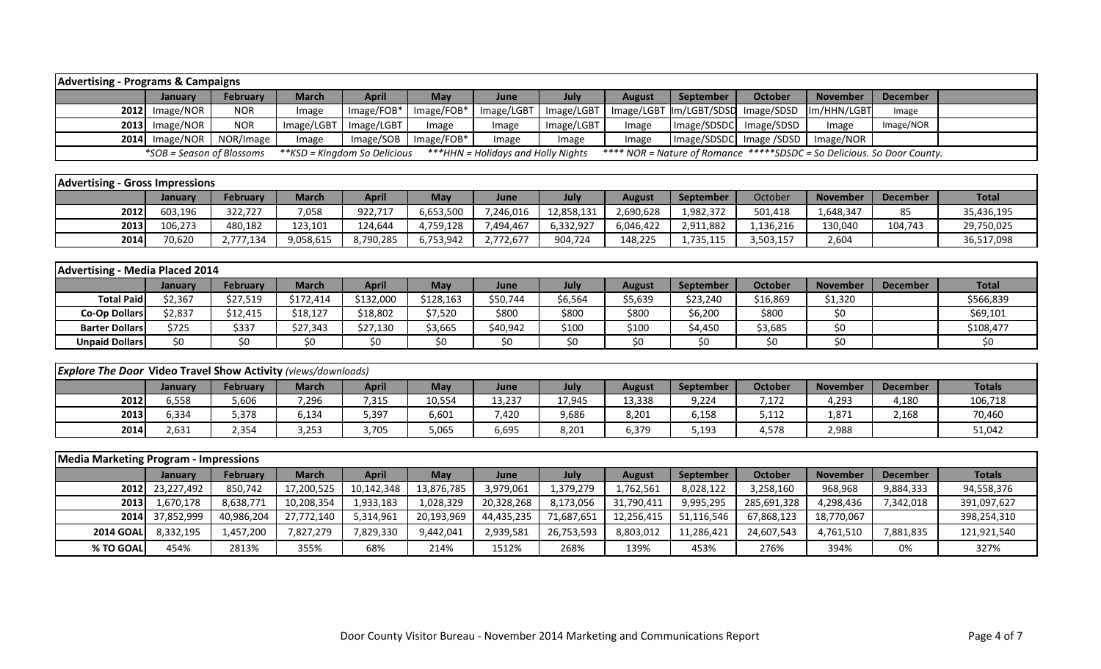| <b>Advertising - Programs &amp; Campaigns</b>                        |                           |                 |              |                               |            |                                     |            |               |              |                                                                          |                 |                 |               |
|----------------------------------------------------------------------|---------------------------|-----------------|--------------|-------------------------------|------------|-------------------------------------|------------|---------------|--------------|--------------------------------------------------------------------------|-----------------|-----------------|---------------|
|                                                                      |                           |                 | <b>March</b> |                               | May        | June                                | July       |               | September    | <b>October</b>                                                           | <b>November</b> | <b>December</b> |               |
|                                                                      | January                   | <b>February</b> |              | <b>April</b>                  |            |                                     |            | <b>August</b> |              |                                                                          |                 |                 |               |
| 2012                                                                 | Image/NOR                 | <b>NOR</b>      | Image        | Image/FOB*                    | Image/FOB* | Image/LGBT                          | Image/LGBT | Image/LGBT    | Im/LGBT/SDSD | Image/SDSD                                                               | Im/HHN/LGBT     | Image           |               |
| 2013                                                                 | Image/NOR                 | <b>NOR</b>      | Image/LGBT   | Image/LGBT                    | Image      | Image                               | Image/LGBT | Image         | Image/SDSDC  | Image/SDSD                                                               | Image           | Image/NOR       |               |
| 2014                                                                 | Image/NOR                 | NOR/Image       | Image        | Image/SOB                     | Image/FOB* | Image                               | Image      | Image         | Image/SDSDC  | Image /SDSD                                                              | Image/NOR       |                 |               |
|                                                                      | *SOB = Season of Blossoms |                 |              | $*KSD = Kingdom So Delicious$ |            | *** HHN = Holidays and Holly Nights |            |               |              | **** NOR = Nature of Romance ***** SDSDC = So Delicious. So Door County. |                 |                 |               |
|                                                                      |                           |                 |              |                               |            |                                     |            |               |              |                                                                          |                 |                 |               |
| <b>Advertising - Gross Impressions</b>                               |                           |                 |              |                               |            |                                     |            |               |              |                                                                          |                 |                 |               |
|                                                                      | January                   | <b>February</b> | <b>March</b> | <b>April</b>                  | May        | June                                | July       | <b>August</b> | September    | October                                                                  | <b>November</b> | <b>December</b> | <b>Total</b>  |
| 2012                                                                 | 603,196                   | 322,727         | 7,058        | 922,717                       | 6,653,500  | 7,246,016                           | 12,858,131 | 2,690,628     | 1,982,372    | 501,418                                                                  | 1,648,347       | 85              | 35,436,195    |
| 2013                                                                 | 106,273                   | 480,182         | 123,101      | 124,644                       | 4,759,128  | 7,494,467                           | 6,332,927  | 6,046,422     | 2,911,882    | 1,136,216                                                                | 130,040         | 104,743         | 29,750,025    |
| 2014                                                                 | 70,620                    | 2,777,134       | 9,058,615    | 8,790,285                     | 6,753,942  | 2,772,677                           | 904,724    | 148,225       | 1,735,115    | 3,503,157                                                                | 2,604           |                 | 36,517,098    |
|                                                                      |                           |                 |              |                               |            |                                     |            |               |              |                                                                          |                 |                 |               |
| <b>Advertising - Media Placed 2014</b>                               |                           |                 |              |                               |            |                                     |            |               |              |                                                                          |                 |                 |               |
|                                                                      | January                   | <b>February</b> | <b>March</b> | <b>April</b>                  | May        | June                                | July       | <b>August</b> | September    | <b>October</b>                                                           | <b>November</b> | <b>December</b> | <b>Total</b>  |
| <b>Total Paid</b>                                                    | \$2,367                   | \$27,519        | \$172,414    | \$132,000                     | \$128,163  | \$50,744                            | \$6,564    | \$5,639       | \$23,240     | \$16,869                                                                 | \$1,320         |                 | \$566,839     |
| <b>Co-Op Dollars</b>                                                 | \$2,837                   | \$12,415        | \$18,127     | \$18,802                      | \$7,520    | \$800                               | \$800      | \$800         | \$6,200      | \$800                                                                    | \$0             |                 | \$69,101      |
| <b>Barter Dollars</b>                                                | \$725                     | \$337           | \$27,343     | \$27,130                      | \$3,665    | \$40,942                            | \$100      | \$100         | \$4,450      | \$3,685                                                                  | \$0             |                 | \$108,477     |
| <b>Unpaid Dollars</b>                                                | \$0\$                     | \$0             | \$0          | \$0                           | \$0\$      | \$0                                 | \$0        | \$0\$         | \$0          | \$0                                                                      | \$0             |                 | \$0           |
|                                                                      |                           |                 |              |                               |            |                                     |            |               |              |                                                                          |                 |                 |               |
| <b>Explore The Door Video Travel Show Activity (views/downloads)</b> |                           |                 |              |                               |            |                                     |            |               |              |                                                                          |                 |                 |               |
|                                                                      | January                   | <b>February</b> | <b>March</b> | <b>April</b>                  | May        | June                                | July       | <b>August</b> | September    | <b>October</b>                                                           | <b>November</b> | <b>December</b> | <b>Totals</b> |
| 2012                                                                 | 6,558                     | 5,606           | 7,296        | 7,315                         | 10,554     | 13,237                              | 17,945     | 13,338        | 9,224        | 7,172                                                                    | 4,293           | 4,180           | 106,718       |
| 2013                                                                 | 6,334                     | 5,378           | 6,134        | 5,397                         | 6,601      | 7,420                               | 9,686      | 8,201         | 6,158        | 5,112                                                                    | 1,871           | 2,168           | 70,460        |
| 2014                                                                 | 2,631                     | 2,354           | 3,253        | 3,705                         | 5,065      | 6,695                               | 8,201      | 6,379         | 5,193        | 4,578                                                                    | 2,988           |                 | 51,042        |
|                                                                      |                           |                 |              |                               |            |                                     |            |               |              |                                                                          |                 |                 |               |
| <b>Media Marketing Program - Impressions</b>                         |                           |                 |              |                               |            |                                     |            |               |              |                                                                          |                 |                 |               |
|                                                                      | January                   | <b>February</b> | <b>March</b> | <b>April</b>                  | May        | June                                | July       | <b>August</b> | September    | <b>October</b>                                                           | <b>November</b> | <b>December</b> | <b>Totals</b> |
| 2012                                                                 | 23,227,492                | 850,742         | 17,200,525   | 10,142,348                    | 13,876,785 | 3,979,061                           | 1,379,279  | 1,762,561     | 8,028,122    | 3,258,160                                                                | 968,968         | 9,884,333       | 94,558,376    |
| 2013                                                                 | 1,670,178                 | 8,638,771       | 10,208,354   | 1,933,183                     | 1,028,329  | 20,328,268                          | 8,173,056  | 31,790,411    | 9,995,295    | 285,691,328                                                              | 4,298,436       | 7,342,018       | 391,097,627   |
| 2014                                                                 | 37,852,999                | 40,986,204      | 27,772,140   | 5,314,961                     | 20,193,969 | 44,435,235                          | 71,687,651 | 12,256,415    | 51,116,546   | 67,868,123                                                               | 18,770,067      |                 | 398,254,310   |
| <b>2014 GOAL</b>                                                     | 8,332,195                 | 1,457,200       | 7,827,279    | 7,829,330                     | 9,442,041  | 2,939,581                           | 26,753,593 | 8,803,012     | 11,286,421   | 24,607,543                                                               | 4,761,510       | 7,881,835       | 121,921,540   |

**% TO GOAL|** 454% | 2813% | 355% | 68% | 214% | 1512% | 268% | 139% | 453% | 276% | 394% | 0% | 327%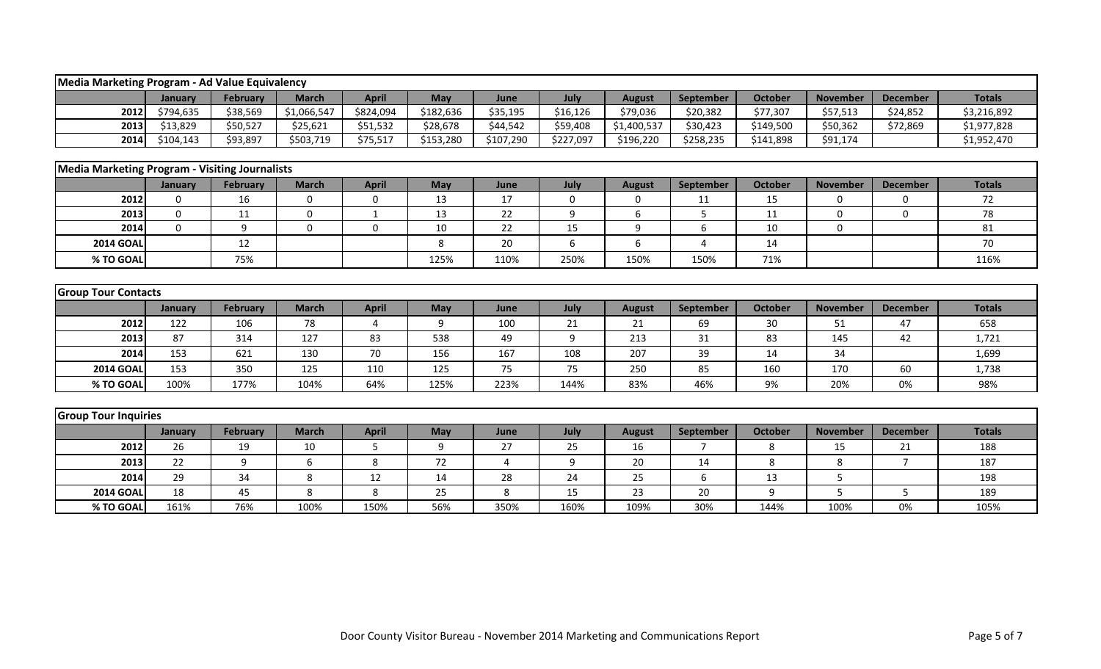|                                                                                                                                                                         | Media Marketing Program - Ad Value Equivalency |                 |              |              |           |           |           |               |                |                |                 |                 |               |
|-------------------------------------------------------------------------------------------------------------------------------------------------------------------------|------------------------------------------------|-----------------|--------------|--------------|-----------|-----------|-----------|---------------|----------------|----------------|-----------------|-----------------|---------------|
|                                                                                                                                                                         | January                                        | <b>February</b> | <b>March</b> | <b>April</b> | May       | June      | July      | <b>August</b> | September      | <b>October</b> | <b>November</b> | <b>December</b> | <b>Totals</b> |
| 2012                                                                                                                                                                    | \$794,635                                      | \$38,569        | \$1,066,547  | \$824,094    | \$182,636 | \$35,195  | \$16,126  | \$79,036      | \$20,382       | \$77,307       | \$57,513        | \$24,852        | \$3,216,892   |
| 2013                                                                                                                                                                    | \$13,829                                       | \$50,527        | \$25,621     | \$51,532     | \$28,678  | \$44,542  | \$59,408  | \$1,400,537   | \$30,423       | \$149,500      | \$50,362        | \$72,869        | \$1,977,828   |
| 2014                                                                                                                                                                    | \$104,143                                      | \$93,897        | \$503,719    | \$75,517     | \$153,280 | \$107,290 | \$227,097 | \$196,220     | \$258,235      | \$141,898      | \$91,174        |                 | \$1,952,470   |
|                                                                                                                                                                         |                                                |                 |              |              |           |           |           |               |                |                |                 |                 |               |
| <b>Media Marketing Program - Visiting Journalists</b>                                                                                                                   |                                                |                 |              |              |           |           |           |               |                |                |                 |                 |               |
| July<br><b>February</b><br><b>March</b><br><b>April</b><br>May<br>September<br><b>October</b><br><b>November</b><br><b>December</b><br>June<br><b>August</b><br>January |                                                |                 |              |              |           |           |           |               |                |                |                 | <b>Totals</b>   |               |
| 2012                                                                                                                                                                    | $\mathbf 0$                                    | 16              | 0            | $\mathbf 0$  | 13        | 17        | 0         | 0             | 11             | 15             | 0               | 0               | 72            |
| 2013                                                                                                                                                                    | $\Omega$                                       | 11              | $\mathbf{0}$ | $\mathbf{1}$ | 13        | 22        | 9         | 6             | 5              | 11             | $\Omega$        | $\mathbf{0}$    | 78            |
| 2014                                                                                                                                                                    | $\Omega$                                       | 9               | $\mathbf 0$  | $\mathbf 0$  | 10        | 22        | 15        | 9             | 6              | 10             | $\Omega$        |                 | 81            |
| <b>2014 GOAL</b>                                                                                                                                                        |                                                | 12              |              |              | 8         | 20        | 6         | 6             | 4              | 14             |                 |                 | 70            |
| % TO GOAL                                                                                                                                                               |                                                | 75%             |              |              | 125%      | 110%      | 250%      | 150%          | 150%           | 71%            |                 |                 | 116%          |
|                                                                                                                                                                         |                                                |                 |              |              |           |           |           |               |                |                |                 |                 |               |
| <b>Group Tour Contacts</b>                                                                                                                                              |                                                |                 |              |              |           |           |           |               |                |                |                 |                 |               |
|                                                                                                                                                                         | January                                        | <b>February</b> | <b>March</b> | <b>April</b> | May       | June      | July      | <b>August</b> | September      | <b>October</b> | <b>November</b> | <b>December</b> | <b>Totals</b> |
| 2012                                                                                                                                                                    | 122                                            | 106             | 78           | $\Delta$     | 9         | 100       | 21        | 21            | 69             | 30             | 51              | 47              | 658           |
| 2013                                                                                                                                                                    | 87                                             | 314             | 127          | 83           | 538       | 49        | 9         | 213           | 31             | 83             | 145             | 42              | 1,721         |
| 2014                                                                                                                                                                    | 153                                            | 621             | 130          | 70           | 156       | 167       | 108       | 207           | 39             | 14             | 34              |                 | 1,699         |
| <b>2014 GOAL</b>                                                                                                                                                        | 153                                            | 350             | 125          | 110          | 125       | 75        | 75        | 250           | 85             | 160            | 170             | 60              | 1,738         |
| % TO GOAL                                                                                                                                                               | 100%                                           | 177%            | 104%         | 64%          | 125%      | 223%      | 144%      | 83%           | 46%            | 9%             | 20%             | 0%              | 98%           |
|                                                                                                                                                                         |                                                |                 |              |              |           |           |           |               |                |                |                 |                 |               |
| <b>Group Tour Inquiries</b>                                                                                                                                             |                                                |                 |              |              |           |           |           |               |                |                |                 |                 |               |
|                                                                                                                                                                         | January                                        | February        | <b>March</b> | <b>April</b> | May       | June      | July      | <b>August</b> | September      | <b>October</b> | <b>November</b> | <b>December</b> | <b>Totals</b> |
| 2012                                                                                                                                                                    | 26                                             | 19              | 10           | 5            | 9         | 27        | 25        | 16            | $\overline{7}$ | 8              | 15              | 21              | 188           |
| 2013                                                                                                                                                                    | 22                                             | 9               | 6            | 8            | 72        | 4         | 9         | 20            | 14             | 8              | 8               | $\overline{7}$  | 187           |
| 2014                                                                                                                                                                    | 29                                             | 34              | 8            | 12           | 14        | 28        | 24        | 25            | 6              | 13             | 5               |                 | 198           |
| <b>2014 GOAI</b>                                                                                                                                                        | 18                                             | 45              | 8            | 8            | 25        | 8         | 15        | 23            | 20             | 9              | 5               | 5               | 189           |
| % TO GOAL                                                                                                                                                               | 161%                                           | 76%             | 100%         | 150%         | 56%       | 350%      | 160%      | 109%          | 30%            | 144%           | 100%            | 0%              | 105%          |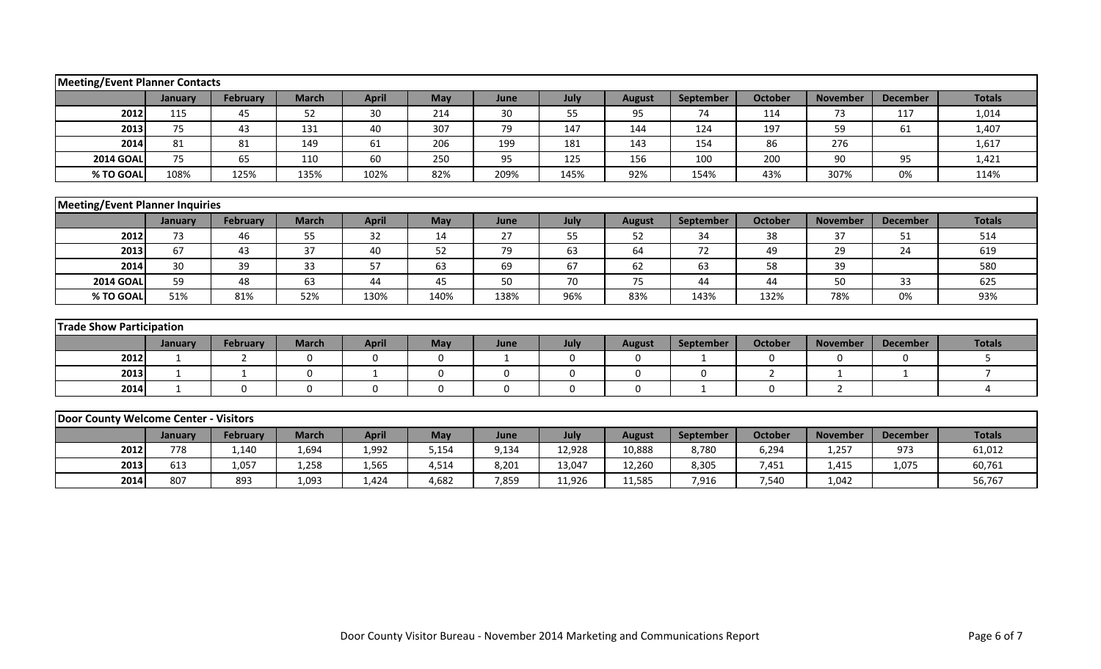| <b>Meeting/Event Planner Contacts</b> |                                        |                 |                  |              |             |              |             |               |                  |                |                 |                 |                |
|---------------------------------------|----------------------------------------|-----------------|------------------|--------------|-------------|--------------|-------------|---------------|------------------|----------------|-----------------|-----------------|----------------|
|                                       | January                                | <b>February</b> | <b>March</b>     | <b>April</b> | May         | June         | July        | <b>August</b> | <b>September</b> | <b>October</b> | <b>November</b> | <b>December</b> | <b>Totals</b>  |
| 2012                                  | 115                                    | 45              | 52               | 30           | 214         | 30           | 55          | 95            | 74               | 114            | 73              | 117             | 1,014          |
| 2013                                  | 75                                     | 43              | 131              | 40           | 307         | 79           | 147         | 144           | 124              | 197            | 59              | 61              | 1,407          |
| 2014                                  | 81                                     | 81              | 149              | 61           | 206         | 199          | 181         | 143           | 154              | 86             | 276             |                 | 1,617          |
| <b>2014 GOAL</b>                      | 75                                     | 65              | 110              | 60           | 250         | 95           | 125         | 156           | 100              | 200            | 90              | 95              | 1,421          |
| % TO GOAL                             | 108%                                   | 125%            | 135%             | 102%         | 82%         | 209%         | 145%        | 92%           | 154%             | 43%            | 307%            | 0%              | 114%           |
|                                       |                                        |                 |                  |              |             |              |             |               |                  |                |                 |                 |                |
|                                       | <b>Meeting/Event Planner Inquiries</b> |                 |                  |              |             |              |             |               |                  |                |                 |                 |                |
|                                       | January                                | <b>February</b> | <b>March</b>     | <b>April</b> | May         | June         | July        | <b>August</b> | September        | <b>October</b> | <b>November</b> | <b>December</b> | <b>Totals</b>  |
| 2012                                  | 73                                     | 46              | 55               | 32           | 14          | 27           | 55          | 52            | 34               | 38             | 37              | 51              | 514            |
| 2013                                  | 67                                     | 43              | 37               | 40           | 52          | 79           | 63          | 64            | 72               | 49             | 29              | 24              | 619            |
| 2014                                  | 30                                     | 39              | 33               | 57           | 63          | 69           | 67          | 62            | 63               | 58             | 39              |                 | 580            |
| <b>2014 GOAL</b>                      | 59                                     | 48              | 63               | 44           | 45          | 50           | 70          | 75            | 44               | 44             | 50              | 33              | 625            |
| % TO GOAL                             | 51%                                    | 81%             | 52%              | 130%         | 140%        | 138%         | 96%         | 83%           | 143%             | 132%           | 78%             | 0%              | 93%            |
|                                       |                                        |                 |                  |              |             |              |             |               |                  |                |                 |                 |                |
| <b>Trade Show Participation</b>       |                                        |                 |                  |              |             |              |             |               |                  |                |                 |                 |                |
|                                       | January                                | February        | <b>March</b>     | <b>April</b> | May         | June         | July        | <b>August</b> | September        | <b>October</b> | <b>November</b> | <b>December</b> | <b>Totals</b>  |
| 2012                                  | 1                                      | 2               | $\mathbf 0$      | $\mathbf 0$  | $\mathbf 0$ | $\mathbf{1}$ | $\mathbf 0$ | 0             | 1                | 0              | $\mathbf 0$     | $\mathbf 0$     | 5              |
| 2013                                  | $\mathbf{1}$                           | 1               | $\boldsymbol{0}$ | $\mathbf 1$  | 0           | 0            | 0           | 0             | $\mathbf 0$      | $\overline{2}$ | $\mathbf{1}$    | 1               | $\overline{7}$ |
| 2014                                  | $\mathbf{1}$                           | $\mathbf 0$     | $\mathbf{0}$     | $\mathbf 0$  | $\mathbf 0$ | $\mathbf 0$  | $\mathbf 0$ | $\mathbf 0$   | $\mathbf{1}$     | 0              | $\overline{2}$  |                 | 4              |
|                                       |                                        |                 |                  |              |             |              |             |               |                  |                |                 |                 |                |
| Door County Welcome Center - Visitors |                                        |                 |                  |              |             |              |             |               |                  |                |                 |                 |                |
|                                       | January                                | February        | <b>March</b>     | <b>April</b> | May         | June         | July        | <b>August</b> | September        | <b>October</b> | <b>November</b> | <b>December</b> | <b>Totals</b>  |
| 2012                                  | 778                                    | 1,140           | 1,694            | 1,992        | 5,154       | 9,134        | 12,928      | 10,888        | 8,780            | 6,294          | 1,257           | 973             | 61,012         |
| 2013                                  | 613                                    | 1,057           | 1,258            | 1,565        | 4,514       | 8,201        | 13,047      | 12,260        | 8,305            | 7,451          | 1,415           | 1,075           | 60,761         |
| 2014                                  | 807                                    | 893             | 1,093            | 1,424        | 4,682       | 7,859        | 11,926      | 11,585        | 7,916            | 7,540          | 1,042           |                 | 56,767         |